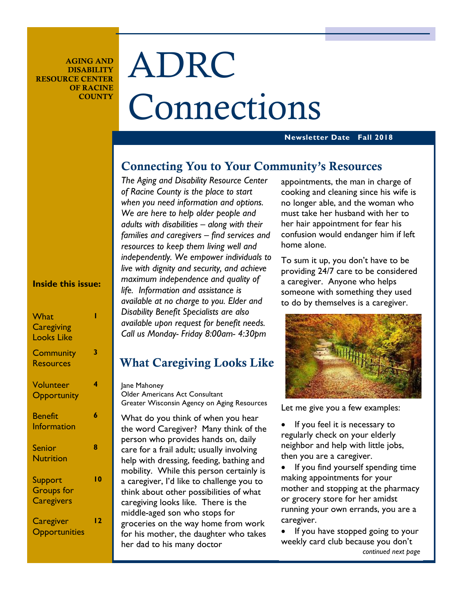**AGING AND DISABILITY RESOURCE CENTER OF RACINE COUNTY** 

# ADRC Connections

#### **Newsletter Date Fall 2018**

#### **Connecting You to Your Community's Resources**

*The Aging and Disability Resource Center of Racine County is the place to start when you need information and options. We are here to help older people and adults with disabilities – along with their families and caregivers – find services and resources to keep them living well and independently. We empower individuals to live with dignity and security, and achieve maximum independence and quality of life. Information and assistance is available at no charge to you. Elder and Disability Benefit Specialists are also available upon request for benefit needs. Call us Monday- Friday 8:00am- 4:30pm* 

## **What Caregiving Looks Like**

Jane Mahoney Older Americans Act Consultant Greater Wisconsin Agency on Aging Resources

What do you think of when you hear the word Caregiver? Many think of the person who provides hands on, daily care for a frail adult; usually involving help with dressing, feeding, bathing and mobility. While this person certainly is a caregiver, I'd like to challenge you to think about other possibilities of what caregiving looks like. There is the middle-aged son who stops for groceries on the way home from work for his mother, the daughter who takes her dad to his many doctor

appointments, the man in charge of cooking and cleaning since his wife is no longer able, and the woman who must take her husband with her to her hair appointment for fear his confusion would endanger him if left home alone.

To sum it up, you don't have to be providing 24/7 care to be considered a caregiver. Anyone who helps someone with something they used to do by themselves is a caregiver.



Let me give you a few examples:

If you feel it is necessary to regularly check on your elderly neighbor and help with little jobs, then you are a caregiver.

If you find yourself spending time making appointments for your mother and stopping at the pharmacy or grocery store for her amidst running your own errands, you are a caregiver.

If you have stopped going to your weekly card club because you don't *continued next page*

#### **Inside this issue:**

| What<br><b>Caregiving</b><br><b>Looks Like</b>    |    |
|---------------------------------------------------|----|
| <b>Community</b><br><b>Resources</b>              | 3  |
| Volunteer<br>Opportunity                          | 4  |
| <b>Benefit</b><br>Information                     | 6  |
| <b>Senior</b><br><b>Nutrition</b>                 | 8  |
| Support<br><b>Groups</b> for<br><b>Caregivers</b> | 10 |
| Caregiver<br>Opportunities                        | 12 |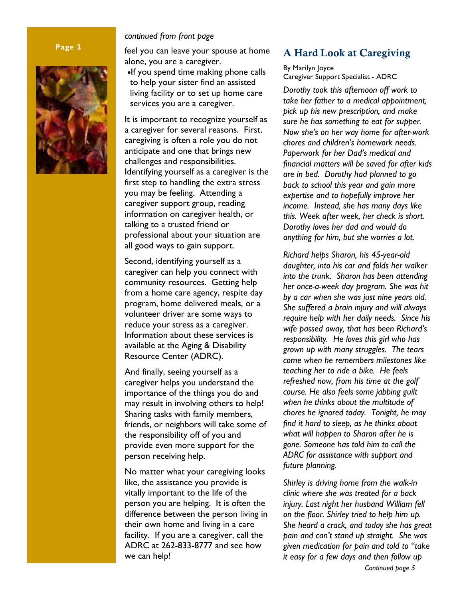#### **Page 2**



#### *continued from front page*

feel you can leave your spouse at home alone, you are a caregiver.

•If you spend time making phone calls to help your sister find an assisted living facility or to set up home care services you are a caregiver.

It is important to recognize yourself as a caregiver for several reasons. First, caregiving is often a role you do not anticipate and one that brings new challenges and responsibilities. Identifying yourself as a caregiver is the first step to handling the extra stress you may be feeling. Attending a caregiver support group, reading information on caregiver health, or talking to a trusted friend or professional about your situation are all good ways to gain support.

Second, identifying yourself as a caregiver can help you connect with community resources. Getting help from a home care agency, respite day program, home delivered meals, or a volunteer driver are some ways to reduce your stress as a caregiver. Information about these services is available at the Aging & Disability Resource Center (ADRC).

And finally, seeing yourself as a caregiver helps you understand the importance of the things you do and may result in involving others to help! Sharing tasks with family members, friends, or neighbors will take some of the responsibility off of you and provide even more support for the person receiving help.

No matter what your caregiving looks like, the assistance you provide is vitally important to the life of the person you are helping. It is often the difference between the person living in their own home and living in a care facility. If you are a caregiver, call the ADRC at 262-833-8777 and see how we can help!

#### **A Hard Look at Caregiving**

By Marilyn Joyce Caregiver Support Specialist - ADRC

*Dorothy took this afternoon off work to take her father to a medical appointment, pick up his new prescription, and make sure he has something to eat for supper. Now she's on her way home for after-work chores and children's homework needs. Paperwork for her Dad's medical and financial matters will be saved for after kids are in bed. Dorothy had planned to go back to school this year and gain more expertise and to hopefully improve her income. Instead, she has many days like this. Week after week, her check is short. Dorothy loves her dad and would do anything for him, but she worries a lot.* 

*Richard helps Sharon, his 45-year-old daughter, into his car and folds her walker into the trunk. Sharon has been attending her once-a-week day program. She was hit by a car when she was just nine years old. She suffered a brain injury and will always require help with her daily needs. Since his wife passed away, that has been Richard's responsibility. He loves this girl who has grown up with many struggles. The tears come when he remembers milestones like teaching her to ride a bike. He feels refreshed now, from his time at the golf course. He also feels some jabbing guilt when he thinks about the multitude of chores he ignored today. Tonight, he may find it hard to sleep, as he thinks about what will happen to Sharon after he is gone. Someone has told him to call the ADRC for assistance with support and future planning.* 

*Shirley is driving home from the walk-in clinic where she was treated for a back injury. Last night her husband William fell on the floor. Shirley tried to help him up. She heard a crack, and today she has great pain and can't stand up straight. She was given medication for pain and told to "take it easy for a few days and then follow up*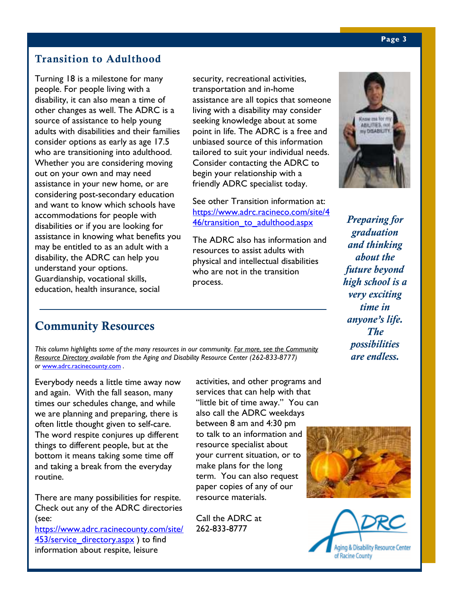#### **Transition to Adulthood**

Turning 18 is a milestone for many people. For people living with a disability, it can also mean a time of other changes as well. The ADRC is a source of assistance to help young adults with disabilities and their families consider options as early as age 17.5 who are transitioning into adulthood. Whether you are considering moving out on your own and may need assistance in your new home, or are considering post-secondary education and want to know which schools have accommodations for people with disabilities or if you are looking for assistance in knowing what benefits you may be entitled to as an adult with a disability, the ADRC can help you understand your options. Guardianship, vocational skills, education, health insurance, social

security, recreational activities, transportation and in-home assistance are all topics that someone living with a disability may consider seeking knowledge about at some point in life. The ADRC is a free and unbiased source of this information tailored to suit your individual needs. Consider contacting the ADRC to begin your relationship with a friendly ADRC specialist today.

See other Transition information at: https://www.adrc.racineco.com/site/4 46/transition to adulthood.aspx

The ADRC also has information and resources to assist adults with physical and intellectual disabilities who are not in the transition process.



*Preparing for graduation and thinking about the future beyond high school is a very exciting time in anyone's life. The possibilities are endless.* 

### **Community Resources**

*This column highlights some of the many resources in our community. For more, see the Community Resource Directory available from the Aging and Disability Resource Center (262-833-8777) or* www.adrc.racinecounty.com *.*

Everybody needs a little time away now and again. With the fall season, many times our schedules change, and while we are planning and preparing, there is often little thought given to self-care. The word respite conjures up different things to different people, but at the bottom it means taking some time off and taking a break from the everyday routine.

There are many possibilities for respite. Check out any of the ADRC directories (see:

https://www.adrc.racinecounty.com/site/ 453/service\_directory.aspx ) to find information about respite, leisure

activities, and other programs and services that can help with that "little bit of time away." You can also call the ADRC weekdays between 8 am and 4:30 pm to talk to an information and resource specialist about your current situation, or to make plans for the long term. You can also request paper copies of any of our resource materials.

Call the ADRC at 262-833-8777



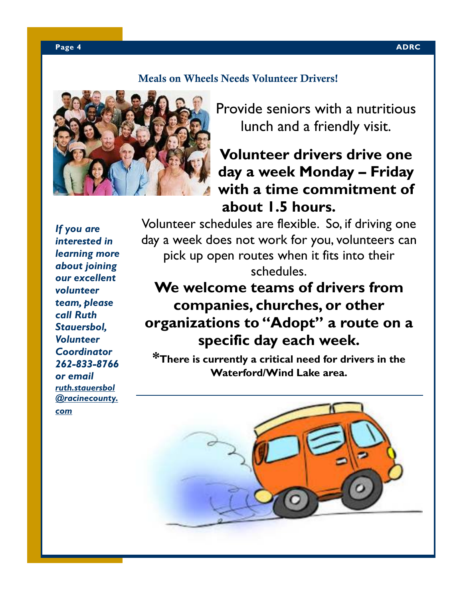#### **Meals on Wheels Needs Volunteer Drivers!**



Provide seniors with a nutritious lunch and a friendly visit.

# **Volunteer drivers drive one day a week Monday – Friday with a time commitment of about 1.5 hours.**

*If you are interested in learning more about joining our excellent volunteer team, please call Ruth Stauersbol, Volunteer Coordinator 262-833-8766 or email ruth.stauersbol @racinecounty. com* 

Volunteer schedules are flexible. So, if driving one day a week does not work for you, volunteers can pick up open routes when it fits into their schedules.

# **We welcome teams of drivers from companies, churches, or other organizations to "Adopt" a route on a specific day each week.**

**\*There is currently a critical need for drivers in the Waterford/Wind Lake area.** 

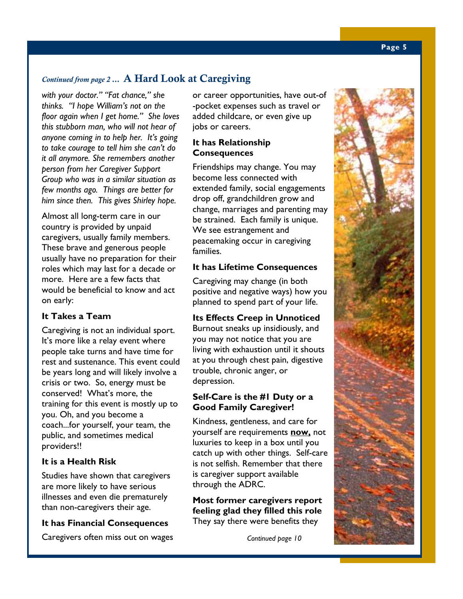#### *Continued from page 2* **… A Hard Look at Caregiving**

*with your doctor." "Fat chance," she thinks. "I hope William's not on the floor again when I get home." She loves this stubborn man, who will not hear of anyone coming in to help her. It's going to take courage to tell him she can't do it all anymore. She remembers another person from her Caregiver Support Group who was in a similar situation as few months ago. Things are better for him since then. This gives Shirley hope.* 

Almost all long-term care in our country is provided by unpaid caregivers, usually family members. These brave and generous people usually have no preparation for their roles which may last for a decade or more. Here are a few facts that would be beneficial to know and act on early:

#### **It Takes a Team**

Caregiving is not an individual sport. It's more like a relay event where people take turns and have time for rest and sustenance. This event could be years long and will likely involve a crisis or two. So, energy must be conserved! What's more, the training for this event is mostly up to you. Oh, and you become a coach...for yourself, your team, the public, and sometimes medical providers!!

#### **It is a Health Risk**

Studies have shown that caregivers are more likely to have serious illnesses and even die prematurely than non-caregivers their age.

#### **It has Financial Consequences**

Caregivers often miss out on wages

or career opportunities, have out-of -pocket expenses such as travel or added childcare, or even give up jobs or careers.

#### **It has Relationship Consequences**

Friendships may change. You may become less connected with extended family, social engagements drop off, grandchildren grow and change, marriages and parenting may be strained. Each family is unique. We see estrangement and peacemaking occur in caregiving families.

#### **It has Lifetime Consequences**

Caregiving may change (in both positive and negative ways) how you planned to spend part of your life.

#### **Its Effects Creep in Unnoticed**

Burnout sneaks up insidiously, and you may not notice that you are living with exhaustion until it shouts at you through chest pain, digestive trouble, chronic anger, or depression.

#### **Self-Care is the #1 Duty or a Good Family Caregiver!**

Kindness, gentleness, and care for yourself are requirements **now,** not luxuries to keep in a box until you catch up with other things. Self-care is not selfish. Remember that there is caregiver support available through the ADRC.

**Most former caregivers report feeling glad they filled this role** They say there were benefits they

*Continued page 10*

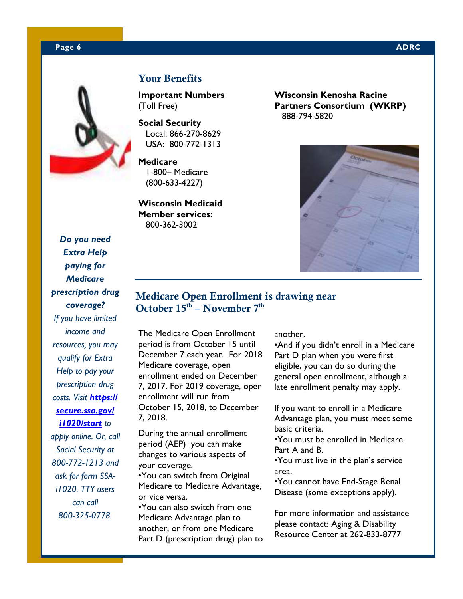#### **Page 6 ADRC 2012 12:00:00 ADRC 2013 12:00:00 ADRC 2014 12:00:00 ADRC 2014 12:00:00 ADRC**



#### **Your Benefits**

**Important Numbers**  (Toll Free)

**Social Security**  Local: 866-270-8629 USA: 800-772-1313

**Medicare**  1-800– Medicare (800-633-4227)

**Wisconsin Medicaid Member services**: 800-362-3002

**Wisconsin Kenosha Racine Partners Consortium (WKRP)**  888-794-5820



#### **Medicare Open Enrollment is drawing near October 15th – November 7th**

The Medicare Open Enrollment period is from October 15 until December 7 each year. For 2018 Medicare coverage, open enrollment ended on December 7, 2017. For 2019 coverage, open enrollment will run from October 15, 2018, to December 7, 2018.

During the annual enrollment period (AEP) you can make changes to various aspects of your coverage.

•You can switch from Original Medicare to Medicare Advantage, or vice versa. •You can also switch from one

Medicare Advantage plan to another, or from one Medicare Part D (prescription drug) plan to another.

•And if you didn't enroll in a Medicare Part D plan when you were first eligible, you can do so during the general open enrollment, although a late enrollment penalty may apply.

If you want to enroll in a Medicare Advantage plan, you must meet some basic criteria.

•You must be enrolled in Medicare Part A and B.

•You must live in the plan's service area.

•You cannot have End-Stage Renal Disease (some exceptions apply).

For more information and assistance please contact: Aging & Disability Resource Center at 262-833-8777

*Do you need Extra Help paying for Medicare prescription drug coverage? If you have limited income and resources, you may qualify for Extra Help to pay your prescription drug costs. Visit https:// secure.ssa.gov/ i1020/start to apply online. Or, call Social Security at* 

*800-772-1213 and ask for form SSAi1020. TTY users can call 800-325-0778.*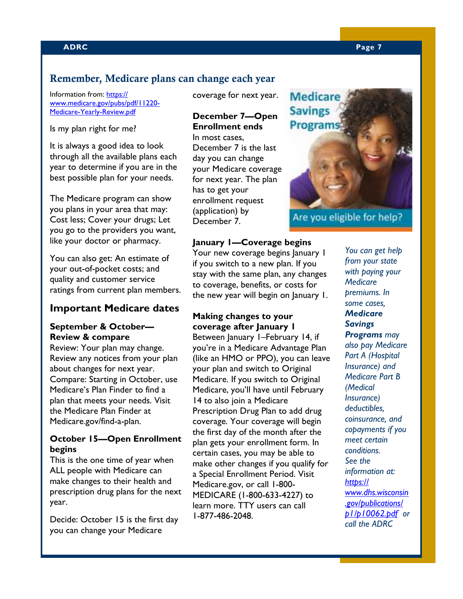#### **Remember, Medicare plans can change each year**

Information from: https:// www.medicare.gov/pubs/pdf/11220- Medicare-Yearly-Review.pdf

Is my plan right for me?

It is always a good idea to look through all the available plans each year to determine if you are in the best possible plan for your needs.

The Medicare program can show you plans in your area that may: Cost less; Cover your drugs; Let you go to the providers you want, like your doctor or pharmacy.

You can also get: An estimate of your out-of-pocket costs; and quality and customer service ratings from current plan members.

#### **Important Medicare dates**

#### **September & October— Review & compare**

Review: Your plan may change. Review any notices from your plan about changes for next year. Compare: Starting in October, use Medicare's Plan Finder to find a plan that meets your needs. Visit the Medicare Plan Finder at Medicare.gov/find-a-plan.

#### **October 15—Open Enrollment begins**

This is the one time of year when ALL people with Medicare can make changes to their health and prescription drug plans for the next year.

Decide: October 15 is the first day you can change your Medicare

coverage for next year.

#### **December 7—Open Enrollment ends**  In most cases,

December 7 is the last day you can change your Medicare coverage for next year. The plan has to get your enrollment request (application) by December 7.

#### **January 1—Coverage begins**

Your new coverage begins January 1 if you switch to a new plan. If you stay with the same plan, any changes to coverage, benefits, or costs for the new year will begin on January 1.

#### **Making changes to your coverage after January 1**

Between January 1–February 14, if you're in a Medicare Advantage Plan (like an HMO or PPO), you can leave your plan and switch to Original Medicare. If you switch to Original Medicare, you'll have until February 14 to also join a Medicare Prescription Drug Plan to add drug coverage. Your coverage will begin the first day of the month after the plan gets your enrollment form. In certain cases, you may be able to make other changes if you qualify for a Special Enrollment Period. Visit Medicare.gov, or call 1-800- MEDICARE (1-800-633-4227) to learn more. TTY users can call 1-877-486-2048.



Are you eligible for help?

*You can get help from your state with paying your Medicare premiums. In some cases, Medicare Savings Programs may also pay Medicare Part A (Hospital Insurance) and Medicare Part B (Medical Insurance) deductibles, coinsurance, and copayments if you meet certain conditions. See the information at: https:// www.dhs.wisconsin .gov/publications/ p1/p10062.pdf or call the ADRC*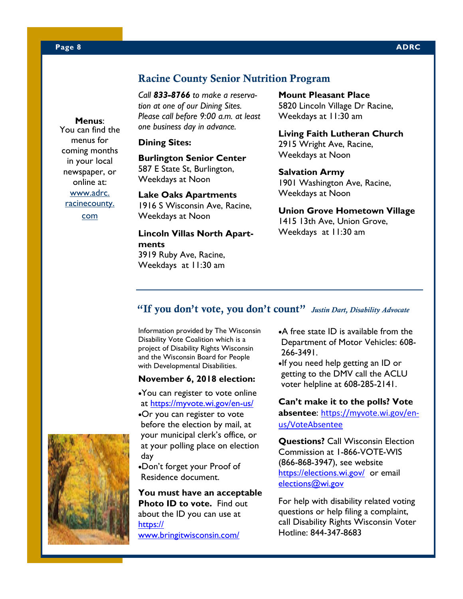#### **Racine County Senior Nutrition Program**

*Call 833-8766 to make a reservation at one of our Dining Sites. Please call before 9:00 a.m. at least one business day in advance.* 

#### **Dining Sites:**

**Burlington Senior Center**  587 E State St, Burlington, Weekdays at Noon

**Lake Oaks Apartments**  1916 S Wisconsin Ave, Racine, Weekdays at Noon

**Lincoln Villas North Apartments**  3919 Ruby Ave, Racine, Weekdays at 11:30 am

#### **Mount Pleasant Place**  5820 Lincoln Village Dr Racine, Weekdays at 11:30 am

**Living Faith Lutheran Church**  2915 Wright Ave, Racine, Weekdays at Noon

**Salvation Army**  1901 Washington Ave, Racine, Weekdays at Noon

**Union Grove Hometown Village**  1415 13th Ave, Union Grove,

Weekdays at 11:30 am

#### **"If you don't vote, you don't count"** *Justin Dart, Disability Advocate*

Information provided by The Wisconsin Disability Vote Coalition which is a project of Disability Rights Wisconsin and the Wisconsin Board for People with Developmental Disabilities.

#### **November 6, 2018 election:**

•You can register to vote online at https://myvote.wi.gov/en-us/ •Or you can register to vote before the election by mail, at your municipal clerk's office, or at your polling place on election day

•Don't forget your Proof of Residence document.

**You must have an acceptable Photo ID to vote.** Find out about the ID you can use at https:// www.bringitwisconsin.com/

- •A free state ID is available from the Department of Motor Vehicles: 608- 266-3491.
- •If you need help getting an ID or getting to the DMV call the ACLU voter helpline at 608-285-2141.

**Can't make it to the polls? Vote absentee**: https://myvote.wi.gov/enus/VoteAbsentee

**Questions?** Call Wisconsin Election Commission at 1-866-VOTE-WIS (866-868-3947), see website https://elections.wi.gov/ or email elections@wi.gov

For help with disability related voting questions or help filing a complaint, call Disability Rights Wisconsin Voter Hotline: 844-347-8683



You can find the menus for coming months in your local newspaper, or online at: www.adrc. racinecounty. com

**Menus**: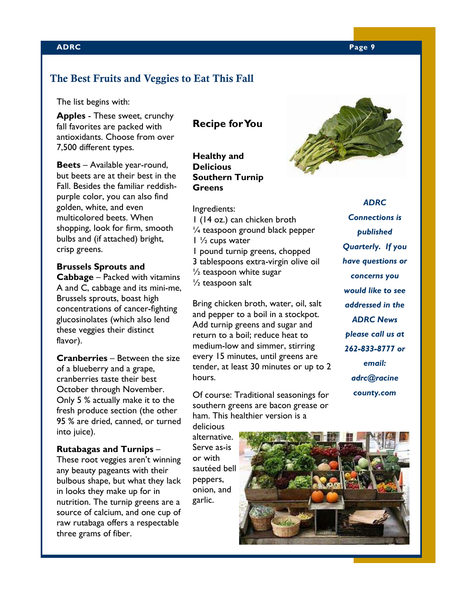#### **ADRC Page 9**

#### **The Best Fruits and Veggies to Eat This Fall**

The list begins with:

**Apples** - These sweet, crunchy fall favorites are packed with antioxidants. Choose from over 7,500 different types.

**Beets** – Available year-round, but beets are at their best in the Fall. Besides the familiar reddishpurple color, you can also find golden, white, and even multicolored beets. When shopping, look for firm, smooth bulbs and (if attached) bright, crisp greens.

**Brussels Sprouts and Cabbage** – Packed with vitamins A and C, cabbage and its mini-me, Brussels sprouts, boast high concentrations of cancer-fighting glucosinolates (which also lend these veggies their distinct flavor).

**Cranberries** – Between the size of a blueberry and a grape, cranberries taste their best October through November. Only 5 % actually make it to the fresh produce section (the other 95 % are dried, canned, or turned into juice).

**Rutabagas and Turnips** – These root veggies aren't winning any beauty pageants with their bulbous shape, but what they lack in looks they make up for in nutrition. The turnip greens are a source of calcium, and one cup of raw rutabaga offers a respectable three grams of fiber.

#### **Recipe for You**

**Healthy and Delicious Southern Turnip Greens** 

Ingredients: 1 (14 oz.) can chicken broth ¼ teaspoon ground black pepper  $1\frac{1}{2}$  cups water 1 pound turnip greens, chopped 3 tablespoons extra-virgin olive oil  $\frac{1}{2}$  teaspoon white sugar ½ teaspoon salt

Bring chicken broth, water, oil, salt and pepper to a boil in a stockpot. Add turnip greens and sugar and return to a boil; reduce heat to medium-low and simmer, stirring every 15 minutes, until greens are tender, at least 30 minutes or up to 2 hours.

Of course: Traditional seasonings for southern greens are bacon grease or ham. This healthier version is a

delicious alternative. Serve as-is or with sautéed bell peppers, onion, and garlic.



*ADRC Connections is published Quarterly. If you have questions or concerns you would like to see addressed in the ADRC News please call us at 262-833-8777 or email: adrc@racine county.com* 

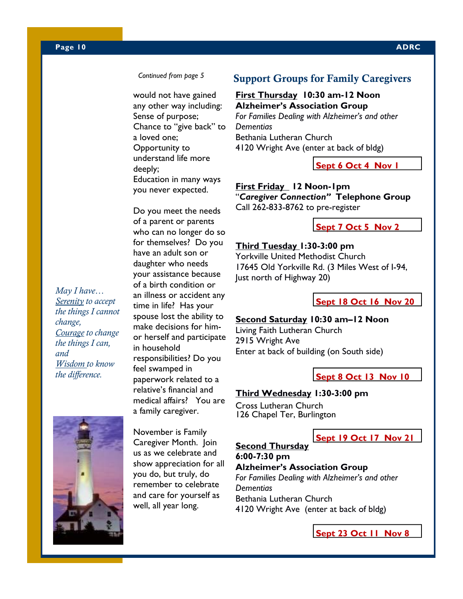#### *Continued from page 5*

would not have gained any other way including: Sense of purpose; Chance to "give back" to a loved one; Opportunity to understand life more deeply; Education in many ways you never expected.

Do you meet the needs of a parent or parents who can no longer do so for themselves? Do you have an adult son or daughter who needs your assistance because of a birth condition or an illness or accident any time in life? Has your spouse lost the ability to make decisions for himor herself and participate in household responsibilities? Do you feel swamped in paperwork related to a relative's financial and medical affairs? You are a family caregiver.

#### *May I have… Serenity to accept the things I cannot change, Courage to change the things I can, and Wisdom to know the difference.*



November is Family Caregiver Month. Join us as we celebrate and show appreciation for all you do, but truly, do remember to celebrate and care for yourself as well, all year long.

#### **Support Groups for Family Caregivers**

#### **First Thursday 10:30 am-12 Noon Alzheimer's Association Group**

*For Families Dealing with Alzheimer's and other Dementias*  Bethania Lutheran Church 4120 Wright Ave (enter at back of bldg)

**Sept 6 Oct 4 Nov 1** 

**First Friday 12 Noon-1pm**  "*Caregiver Connection"* **Telephone Group**  Call 262-833-8762 to pre-register

#### **Sept 7 Oct 5 Nov 2**

#### **Third Tuesday 1:30-3:00 pm**

Yorkville United Methodist Church 17645 Old Yorkville Rd. (3 Miles West of I-94, Just north of Highway 20)

**Sept 18 Oct 16 Nov 20** 

#### **Second Saturday 10:30 am–12 Noon**

Living Faith Lutheran Church 2915 Wright Ave Enter at back of building (on South side)

**Sept 8 Oct 13 Nov 10** 

#### **Third Wednesday 1:30-3:00 pm**

Cross Lutheran Church 126 Chapel Ter, Burlington

#### **Sept 19 Oct 17 Nov 21**

**Second Thursday 6:00-7:30 pm Alzheimer's Association Group**  *For Families Dealing with Alzheimer's and other Dementias*  Bethania Lutheran Church 4120 Wright Ave (enter at back of bldg)

**Sept 23 Oct 11 Nov 8**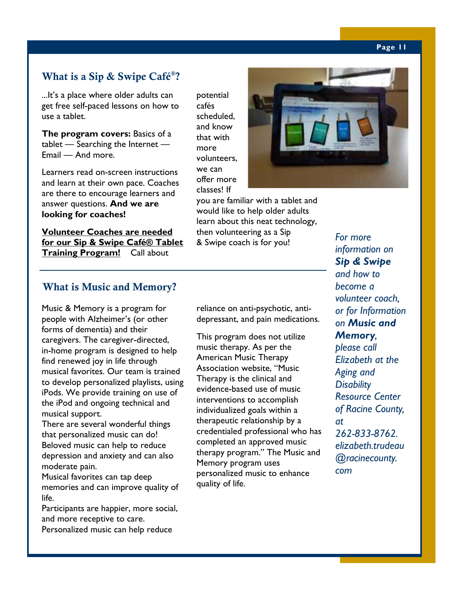#### **Page 11**

#### **What is a Sip & Swipe Café® ?**

...It's a place where older adults can get free self-paced lessons on how to use a tablet.

**The program covers:** Basics of a tablet — Searching the Internet — Email — And more.

Learners read on-screen instructions and learn at their own pace. Coaches are there to encourage learners and answer questions. **And we are looking for coaches!**

**Volunteer Coaches are needed for our Sip & Swipe Café® Tablet Training Program!** Call about

potential cafés scheduled, and know that with more volunteers, we can offer more classes! If

would like to help older adults then volunteering as a Sip & Swipe coach is for you!



you are familiar with a tablet and learn about this neat technology,

*For more information on Sip & Swipe and how to become a volunteer coach, or for Information on Music and Memory, please call Elizabeth at the Aging and Disability Resource Center of Racine County, at 262-833-8762. elizabeth.trudeau @racinecounty. com* 

#### **What is Music and Memory?**

Music & Memory is a program for people with Alzheimer's (or other forms of dementia) and their caregivers. The caregiver-directed, in-home program is designed to help find renewed joy in life through musical favorites. Our team is trained to develop personalized playlists, using iPods. We provide training on use of the iPod and ongoing technical and musical support.

There are several wonderful things that personalized music can do! Beloved music can help to reduce depression and anxiety and can also moderate pain.

Musical favorites can tap deep memories and can improve quality of life.

Participants are happier, more social, and more receptive to care.

Personalized music can help reduce

reliance on anti-psychotic, antidepressant, and pain medications.

This program does not utilize music therapy. As per the American Music Therapy Association website, "Music Therapy is the clinical and evidence-based use of music interventions to accomplish individualized goals within a therapeutic relationship by a credentialed professional who has completed an approved music therapy program." The Music and Memory program uses personalized music to enhance quality of life.